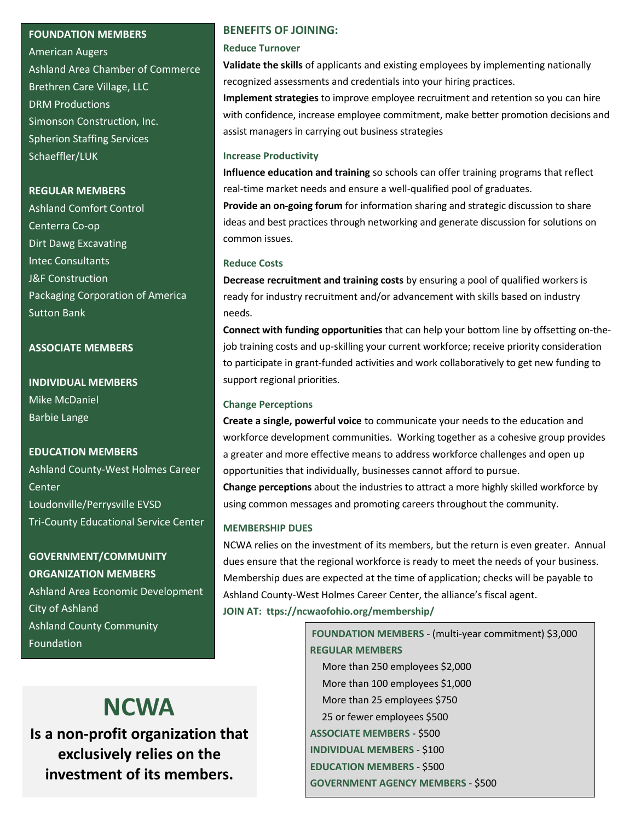#### **FOUNDATION MEMBERS**

American Augers Ashland Area Chamber of Commerce Brethren Care Village, LLC DRM Productions Simonson Construction, Inc. Spherion Staffing Services Schaeffler/LUK

#### **REGULAR MEMBERS**

Ashland Comfort Control Centerra Co-op Dirt Dawg Excavating Intec Consultants J&F Construction Packaging Corporation of America Sutton Bank

#### **ASSOCIATE MEMBERS**

**INDIVIDUAL MEMBERS** Mike McDaniel Barbie Lange

#### **EDUCATION MEMBERS**

Ashland County-West Holmes Career Center Loudonville/Perrysville EVSD Tri-County Educational Service Center

**GOVERNMENT/COMMUNITY ORGANIZATION MEMBERS** Ashland Area Economic Development City of Ashland Ashland County Community Foundation

#### **BENEFITS OF JOINING:**

#### **Reduce Turnover**

**Validate the skills** of applicants and existing employees by implementing nationally recognized assessments and credentials into your hiring practices.

**Implement strategies** to improve employee recruitment and retention so you can hire with confidence, increase employee commitment, make better promotion decisions and assist managers in carrying out business strategies

#### **Increase Productivity**

**Influence education and training** so schools can offer training programs that reflect real-time market needs and ensure a well-qualified pool of graduates.

**Provide an on-going forum** for information sharing and strategic discussion to share ideas and best practices through networking and generate discussion for solutions on common issues.

#### **Reduce Costs**

**Decrease recruitment and training costs** by ensuring a pool of qualified workers is ready for industry recruitment and/or advancement with skills based on industry needs.

**Connect with funding opportunities** that can help your bottom line by offsetting on-thejob training costs and up-skilling your current workforce; receive priority consideration to participate in grant-funded activities and work collaboratively to get new funding to support regional priorities.

#### **Change Perceptions**

**Create a single, powerful voice** to communicate your needs to the education and workforce development communities. Working together as a cohesive group provides a greater and more effective means to address workforce challenges and open up opportunities that individually, businesses cannot afford to pursue.

**Change perceptions** about the industries to attract a more highly skilled workforce by using common messages and promoting careers throughout the community.

#### **MEMBERSHIP DUES**

NCWA relies on the investment of its members, but the return is even greater. Annual dues ensure that the regional workforce is ready to meet the needs of your business. Membership dues are expected at the time of application; checks will be payable to Ashland County-West Holmes Career Center, the alliance's fiscal agent. **JOIN AT: ttps://ncwaofohio.org/membership/**

> **FOUNDATION MEMBERS** - (multi-year commitment) \$3,000  **REGULAR MEMBERS**

 More than 250 employees \$2,000 More than 100 employees \$1,000 More than 25 employees \$750 25 or fewer employees \$500  **ASSOCIATE MEMBERS** - \$500  **INDIVIDUAL MEMBERS** - \$100  **EDUCATION MEMBERS** - \$500  **GOVERNMENT AGENCY MEMBERS** - \$500

## **NCWA**

**Is a non-profit organization that exclusively relies on the investment of its members.**